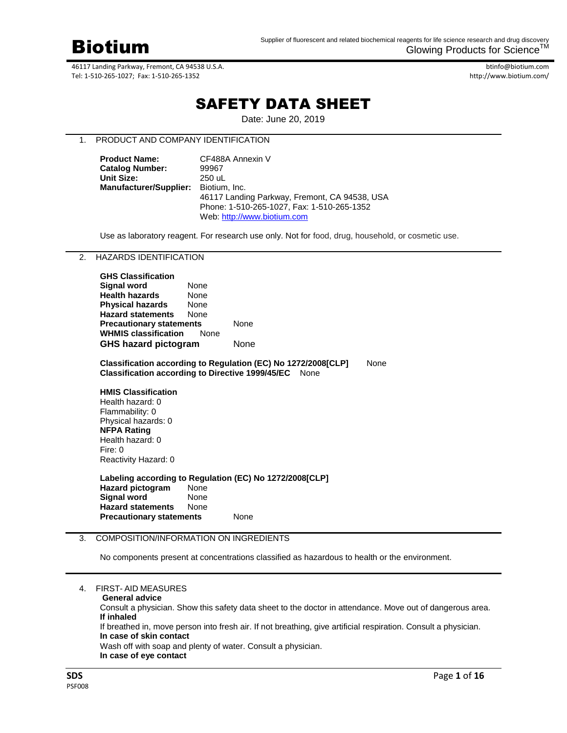

btinfo@biotium.com http://www.biotium.com/

# SAFETY DATA SHEET

Date: June 20, 2019

# 1. PRODUCT AND COMPANY IDENTIFICATION

| <b>Product Name:</b>                 | CF488A Annexin V                              |  |  |  |
|--------------------------------------|-----------------------------------------------|--|--|--|
| <b>Catalog Number:</b>               | 99967                                         |  |  |  |
| <b>Unit Size:</b>                    | 250 uL                                        |  |  |  |
| Manufacturer/Supplier: Biotium, Inc. |                                               |  |  |  |
|                                      | 46117 Landing Parkway, Fremont, CA 94538, USA |  |  |  |
|                                      | Phone: 1-510-265-1027, Fax: 1-510-265-1352    |  |  |  |
|                                      | Web: http://www.biotium.com                   |  |  |  |

Use as laboratory reagent. For research use only. Not for food, drug, household, or cosmetic use.

# 2. HAZARDS IDENTIFICATION

| None        |                                                                                               |
|-------------|-----------------------------------------------------------------------------------------------|
| None        |                                                                                               |
| None        |                                                                                               |
| None        |                                                                                               |
|             | None                                                                                          |
| <b>None</b> |                                                                                               |
|             | None                                                                                          |
|             | <b>Precautionary statements</b><br><b>WHMIS classification</b><br><b>GHS hazard pictogram</b> |

**Classification according to Regulation (EC) No 1272/2008[CLP]** None **Classification according to Directive 1999/45/EC** None

**HMIS Classification** Health hazard: 0 Flammability: 0 Physical hazards: 0 **NFPA Rating** Health hazard: 0 Fire: 0 Reactivity Hazard: 0

**Labeling according to Regulation (EC) No 1272/2008[CLP] Hazard pictogram** None **Signal word**  None **Hazard statements** None **Precautionary statements** None

## 3. COMPOSITION/INFORMATION ON INGREDIENTS

No components present at concentrations classified as hazardous to health or the environment.

Consult a physician. Show this safety data sheet to the doctor in attendance. Move out of dangerous area. **If inhaled**

If breathed in, move person into fresh air. If not breathing, give artificial respiration. Consult a physician. **In case of skin contact**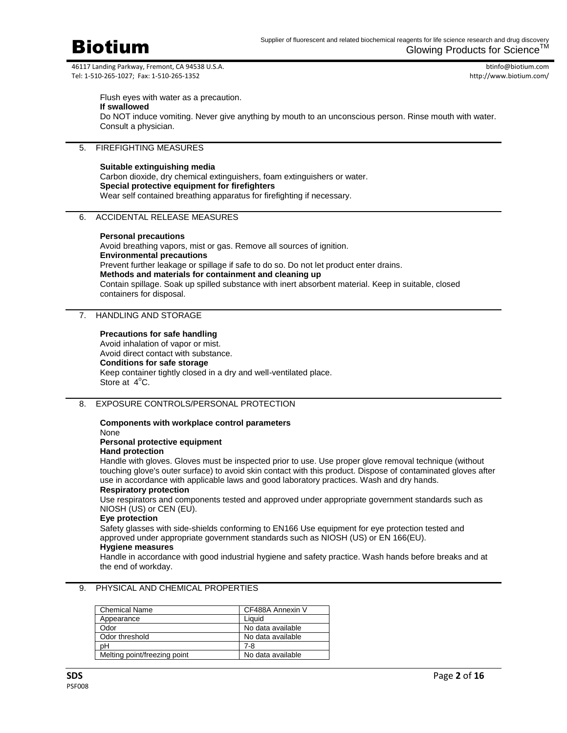

btinfo@biotium.com http://www.biotium.com/

Flush eyes with water as a precaution. **If swallowed** Do NOT induce vomiting. Never give anything by mouth to an unconscious person. Rinse mouth with water. Consult a physician.

# 5. FIREFIGHTING MEASURES

#### **Suitable extinguishing media**

Carbon dioxide, dry chemical extinguishers, foam extinguishers or water. **Special protective equipment for firefighters** Wear self contained breathing apparatus for firefighting if necessary.

## 6. ACCIDENTAL RELEASE MEASURES

#### **Personal precautions**

Avoid breathing vapors, mist or gas. Remove all sources of ignition. **Environmental precautions** Prevent further leakage or spillage if safe to do so. Do not let product enter drains. **Methods and materials for containment and cleaning up** Contain spillage. Soak up spilled substance with inert absorbent material. Keep in suitable, closed containers for disposal.

# 7. HANDLING AND STORAGE

### **Precautions for safe handling**

Avoid inhalation of vapor or mist. Avoid direct contact with substance. **Conditions for safe storage** Keep container tightly closed in a dry and well-ventilated place. Store at 4°C.

### 8. EXPOSURE CONTROLS/PERSONAL PROTECTION

#### **Components with workplace control parameters** None

**Personal protective equipment**

## **Hand protection**

Handle with gloves. Gloves must be inspected prior to use. Use proper glove removal technique (without touching glove's outer surface) to avoid skin contact with this product. Dispose of contaminated gloves after use in accordance with applicable laws and good laboratory practices. Wash and dry hands.

# **Respiratory protection**

Use respirators and components tested and approved under appropriate government standards such as NIOSH (US) or CEN (EU).

# **Eye protection**

Safety glasses with side-shields conforming to EN166 Use equipment for eye protection tested and approved under appropriate government standards such as NIOSH (US) or EN 166(EU).

#### **Hygiene measures**

Handle in accordance with good industrial hygiene and safety practice. Wash hands before breaks and at the end of workday.

| <b>Chemical Name</b>         | CF488A Annexin V  |
|------------------------------|-------------------|
| Appearance                   | Liauid            |
| Odor                         | No data available |
| Odor threshold               | No data available |
| pН                           | 7-8               |
| Melting point/freezing point | No data available |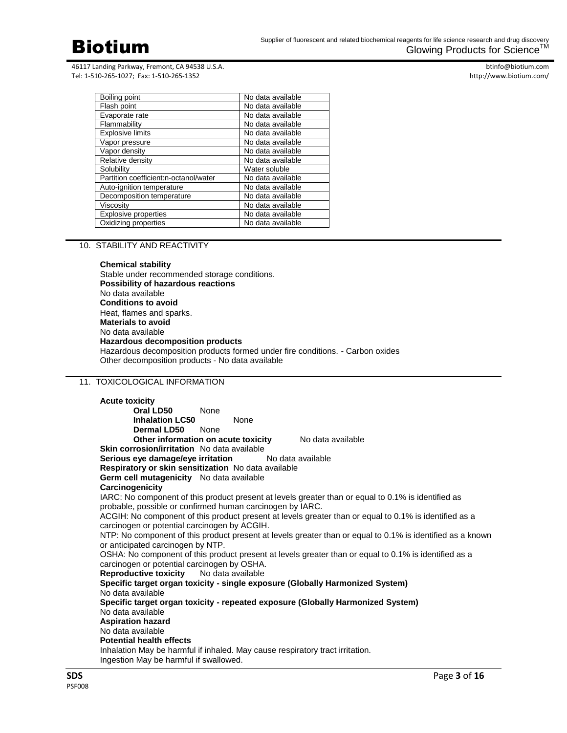

btinfo@biotium.com http://www.biotium.com/

| Boiling point                         | No data available |
|---------------------------------------|-------------------|
| Flash point                           | No data available |
| Evaporate rate                        | No data available |
| Flammability                          | No data available |
| <b>Explosive limits</b>               | No data available |
| Vapor pressure                        | No data available |
| Vapor density                         | No data available |
| Relative density                      | No data available |
| Solubility                            | Water soluble     |
| Partition coefficient:n-octanol/water | No data available |
| Auto-ignition temperature             | No data available |
| Decomposition temperature             | No data available |
| Viscosity                             | No data available |
| Explosive properties                  | No data available |
| Oxidizing properties                  | No data available |

# 10. STABILITY AND REACTIVITY

### **Chemical stability** Stable under recommended storage conditions. **Possibility of hazardous reactions** No data available **Conditions to avoid** Heat, flames and sparks. **Materials to avoid** No data available **Hazardous decomposition products** Hazardous decomposition products formed under fire conditions. - Carbon oxides Other decomposition products - No data available

# 11. TOXICOLOGICAL INFORMATION

| <b>Acute toxicity</b>                                                                                                   |                                                           |                                                                                                            |  |  |
|-------------------------------------------------------------------------------------------------------------------------|-----------------------------------------------------------|------------------------------------------------------------------------------------------------------------|--|--|
| Oral LD50                                                                                                               | None                                                      |                                                                                                            |  |  |
| <b>Inhalation LC50</b>                                                                                                  | None                                                      |                                                                                                            |  |  |
| <b>Dermal LD50</b> None                                                                                                 |                                                           |                                                                                                            |  |  |
|                                                                                                                         | Other information on acute toxicity                       | No data available                                                                                          |  |  |
| Skin corrosion/irritation No data available                                                                             |                                                           |                                                                                                            |  |  |
|                                                                                                                         | Serious eye damage/eye irritation No data available       |                                                                                                            |  |  |
|                                                                                                                         | Respiratory or skin sensitization No data available       |                                                                                                            |  |  |
| <b>Germ cell mutagenicity</b> No data available                                                                         |                                                           |                                                                                                            |  |  |
| Carcinogenicity                                                                                                         |                                                           |                                                                                                            |  |  |
|                                                                                                                         |                                                           | IARC: No component of this product present at levels greater than or equal to 0.1% is identified as        |  |  |
|                                                                                                                         | probable, possible or confirmed human carcinogen by IARC. |                                                                                                            |  |  |
|                                                                                                                         |                                                           | ACGIH: No component of this product present at levels greater than or equal to 0.1% is identified as a     |  |  |
| carcinogen or potential carcinogen by ACGIH.                                                                            |                                                           |                                                                                                            |  |  |
|                                                                                                                         |                                                           | NTP: No component of this product present at levels greater than or equal to 0.1% is identified as a known |  |  |
| or anticipated carcinogen by NTP.                                                                                       |                                                           |                                                                                                            |  |  |
|                                                                                                                         |                                                           | OSHA: No component of this product present at levels greater than or equal to 0.1% is identified as a      |  |  |
| carcinogen or potential carcinogen by OSHA.                                                                             |                                                           |                                                                                                            |  |  |
| <b>Reproductive toxicity</b>                                                                                            | No data available                                         |                                                                                                            |  |  |
| No data available                                                                                                       |                                                           | Specific target organ toxicity - single exposure (Globally Harmonized System)                              |  |  |
|                                                                                                                         |                                                           |                                                                                                            |  |  |
| Specific target organ toxicity - repeated exposure (Globally Harmonized System)                                         |                                                           |                                                                                                            |  |  |
| No data available                                                                                                       |                                                           |                                                                                                            |  |  |
| <b>Aspiration hazard</b><br>No data available                                                                           |                                                           |                                                                                                            |  |  |
| <b>Potential health effects</b>                                                                                         |                                                           |                                                                                                            |  |  |
|                                                                                                                         |                                                           |                                                                                                            |  |  |
| Inhalation May be harmful if inhaled. May cause respiratory tract irritation.<br>Ingestion May be harmful if swallowed. |                                                           |                                                                                                            |  |  |
|                                                                                                                         |                                                           |                                                                                                            |  |  |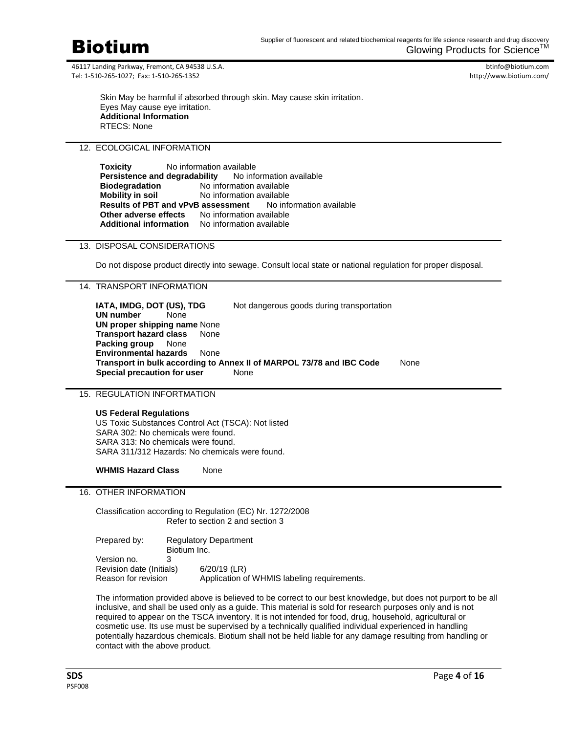

btinfo@biotium.com http://www.biotium.com/

Skin May be harmful if absorbed through skin. May cause skin irritation. Eyes May cause eye irritation. **Additional Information** RTECS: None

# 12. ECOLOGICAL INFORMATION

| Toxicity                                               | No information available |                                                       |                                                                    |  |
|--------------------------------------------------------|--------------------------|-------------------------------------------------------|--------------------------------------------------------------------|--|
| Persistence and degradability No information available |                          |                                                       |                                                                    |  |
| <b>Biodegradation</b>                                  |                          | No information available                              |                                                                    |  |
| <b>Mobility in soil</b>                                |                          | No information available                              |                                                                    |  |
|                                                        |                          |                                                       | <b>Results of PBT and vPvB assessment</b> No information available |  |
|                                                        |                          | <b>Other adverse effects</b> No information available |                                                                    |  |
| <b>Additional information</b>                          |                          | No information available                              |                                                                    |  |

## 13. DISPOSAL CONSIDERATIONS

Do not dispose product directly into sewage. Consult local state or national regulation for proper disposal.

## 14. TRANSPORT INFORMATION

**IATA, IMDG, DOT (US), TDG** Not dangerous goods during transportation **UN number** None **UN proper shipping name** None **Transport hazard class** None **Packing group** None **Environmental hazards** None **Transport in bulk according to Annex II of MARPOL 73/78 and IBC Code** None **Special precaution for user** None

## 15. REGULATION INFORTMATION

## **US Federal Regulations**

US Toxic Substances Control Act (TSCA): Not listed SARA 302: No chemicals were found. SARA 313: No chemicals were found. SARA 311/312 Hazards: No chemicals were found.

**WHMIS Hazard Class** None

## 16. OTHER INFORMATION

Classification according to Regulation (EC) Nr. 1272/2008 Refer to section 2 and section 3

| Prepared by:             | <b>Regulatory Department</b> |                                             |  |
|--------------------------|------------------------------|---------------------------------------------|--|
|                          | Biotium Inc.                 |                                             |  |
| Version no.              |                              |                                             |  |
| Revision date (Initials) |                              | $6/20/19$ (LR)                              |  |
| Reason for revision      |                              | Application of WHMIS labeling requirements. |  |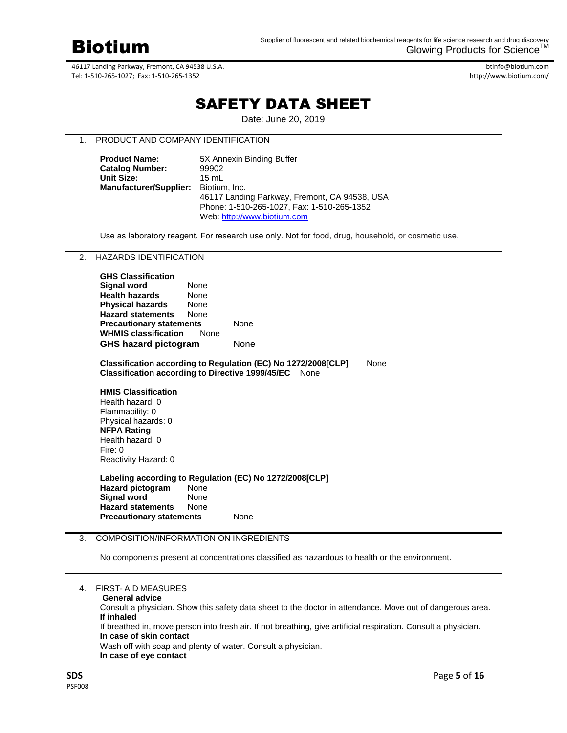

btinfo@biotium.com http://www.biotium.com/

# SAFETY DATA SHEET

Date: June 20, 2019

# 1. PRODUCT AND COMPANY IDENTIFICATION

| <b>Product Name:</b>                 | 5X Annexin Binding Buffer                     |  |  |
|--------------------------------------|-----------------------------------------------|--|--|
| <b>Catalog Number:</b>               | 99902                                         |  |  |
| Unit Size:                           | $15 \text{ ml}$                               |  |  |
| Manufacturer/Supplier: Biotium, Inc. |                                               |  |  |
|                                      | 46117 Landing Parkway, Fremont, CA 94538, USA |  |  |
|                                      | Phone: 1-510-265-1027. Fax: 1-510-265-1352    |  |  |
|                                      | Web: http://www.biotium.com                   |  |  |

Use as laboratory reagent. For research use only. Not for food, drug, household, or cosmetic use.

2. HAZARDS IDENTIFICATION

| <b>GHS Classification</b>       |             |      |
|---------------------------------|-------------|------|
| Signal word                     | None        |      |
| <b>Health hazards</b>           | None        |      |
| <b>Physical hazards</b>         | None        |      |
| <b>Hazard statements</b>        | None        |      |
| <b>Precautionary statements</b> |             | None |
| <b>WHMIS classification</b>     | <b>None</b> |      |
| <b>GHS hazard pictogram</b>     | None        |      |
|                                 |             |      |

**Classification according to Regulation (EC) No 1272/2008[CLP]** None **Classification according to Directive 1999/45/EC** None

**HMIS Classification** Health hazard: 0 Flammability: 0 Physical hazards: 0 **NFPA Rating** Health hazard: 0 Fire: 0 Reactivity Hazard: 0

**Labeling according to Regulation (EC) No 1272/2008[CLP] Hazard pictogram** None **Signal word**  None **Hazard statements** None **Precautionary statements** None

# 3. COMPOSITION/INFORMATION ON INGREDIENTS

No components present at concentrations classified as hazardous to health or the environment.

|  |  | <b>FIRST-AID MEASURES</b> |
|--|--|---------------------------|
|  |  |                           |

Consult a physician. Show this safety data sheet to the doctor in attendance. Move out of dangerous area. **If inhaled**

If breathed in, move person into fresh air. If not breathing, give artificial respiration. Consult a physician. **In case of skin contact**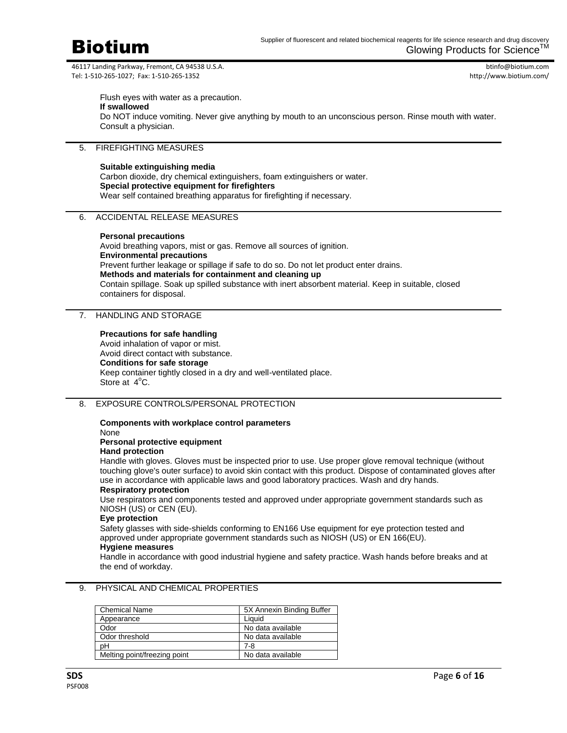

btinfo@biotium.com http://www.biotium.com/

Flush eyes with water as a precaution. **If swallowed** Do NOT induce vomiting. Never give anything by mouth to an unconscious person. Rinse mouth with water. Consult a physician.

# 5. FIREFIGHTING MEASURES

#### **Suitable extinguishing media**

Carbon dioxide, dry chemical extinguishers, foam extinguishers or water. **Special protective equipment for firefighters** Wear self contained breathing apparatus for firefighting if necessary.

## 6. ACCIDENTAL RELEASE MEASURES

#### **Personal precautions**

Avoid breathing vapors, mist or gas. Remove all sources of ignition. **Environmental precautions** Prevent further leakage or spillage if safe to do so. Do not let product enter drains. **Methods and materials for containment and cleaning up** Contain spillage. Soak up spilled substance with inert absorbent material. Keep in suitable, closed containers for disposal.

# 7. HANDLING AND STORAGE

#### **Precautions for safe handling**

Avoid inhalation of vapor or mist. Avoid direct contact with substance. **Conditions for safe storage** Keep container tightly closed in a dry and well-ventilated place. Store at 4°C.

### 8. EXPOSURE CONTROLS/PERSONAL PROTECTION

#### **Components with workplace control parameters** None

**Personal protective equipment**

## **Hand protection**

Handle with gloves. Gloves must be inspected prior to use. Use proper glove removal technique (without touching glove's outer surface) to avoid skin contact with this product. Dispose of contaminated gloves after use in accordance with applicable laws and good laboratory practices. Wash and dry hands.

# **Respiratory protection**

Use respirators and components tested and approved under appropriate government standards such as NIOSH (US) or CEN (EU).

#### **Eye protection**

Safety glasses with side-shields conforming to EN166 Use equipment for eye protection tested and approved under appropriate government standards such as NIOSH (US) or EN 166(EU).

#### **Hygiene measures**

Handle in accordance with good industrial hygiene and safety practice. Wash hands before breaks and at the end of workday.

| <b>Chemical Name</b>         | 5X Annexin Binding Buffer |
|------------------------------|---------------------------|
| Appearance                   | Liauid                    |
| Odor                         | No data available         |
| Odor threshold               | No data available         |
| pН                           | 7-8                       |
| Melting point/freezing point | No data available         |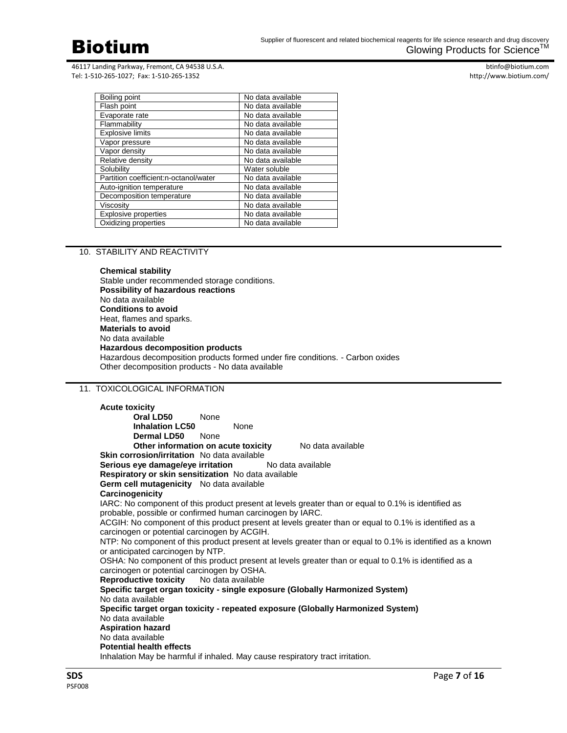

btinfo@biotium.com http://www.biotium.com/

| Boiling point                         | No data available |
|---------------------------------------|-------------------|
| Flash point                           | No data available |
| Evaporate rate                        | No data available |
| Flammability                          | No data available |
| <b>Explosive limits</b>               | No data available |
| Vapor pressure                        | No data available |
| Vapor density                         | No data available |
| Relative density                      | No data available |
| Solubility                            | Water soluble     |
| Partition coefficient:n-octanol/water | No data available |
| Auto-ignition temperature             | No data available |
| Decomposition temperature             | No data available |
| Viscosity                             | No data available |
| <b>Explosive properties</b>           | No data available |
| Oxidizing properties                  | No data available |

## 10. STABILITY AND REACTIVITY

**Chemical stability** Stable under recommended storage conditions. **Possibility of hazardous reactions** No data available **Conditions to avoid** Heat, flames and sparks. **Materials to avoid** No data available **Hazardous decomposition products** Hazardous decomposition products formed under fire conditions. - Carbon oxides Other decomposition products - No data available

# 11. TOXICOLOGICAL INFORMATION

**Acute toxicity Oral LD50** None **Inhalation LC50** None **Dermal LD50** None **Other information on acute toxicity** No data available **Skin corrosion/irritation** No data available **Serious eye damage/eye irritation** No data available **Respiratory or skin sensitization** No data available **Germ cell mutagenicity** No data available **Carcinogenicity** IARC: No component of this product present at levels greater than or equal to 0.1% is identified as probable, possible or confirmed human carcinogen by IARC. ACGIH: No component of this product present at levels greater than or equal to 0.1% is identified as a carcinogen or potential carcinogen by ACGIH. NTP: No component of this product present at levels greater than or equal to 0.1% is identified as a known or anticipated carcinogen by NTP. OSHA: No component of this product present at levels greater than or equal to 0.1% is identified as a carcinogen or potential carcinogen by OSHA.<br>**Reproductive toxicity** No data available **Reproductive toxicity Specific target organ toxicity - single exposure (Globally Harmonized System)** No data available **Specific target organ toxicity - repeated exposure (Globally Harmonized System)** No data available **Aspiration hazard** No data available **Potential health effects** Inhalation May be harmful if inhaled. May cause respiratory tract irritation.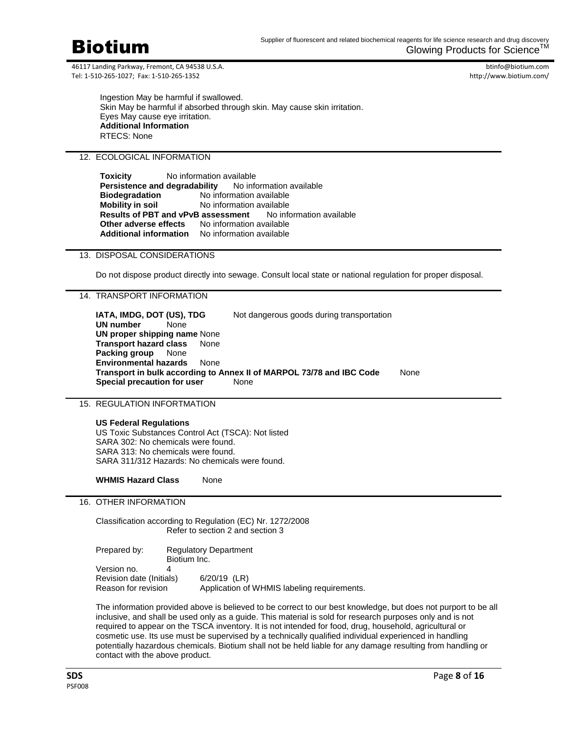

btinfo@biotium.com http://www.biotium.com/

Ingestion May be harmful if swallowed. Skin May be harmful if absorbed through skin. May cause skin irritation. Eyes May cause eye irritation. **Additional Information** RTECS: None

# 12. ECOLOGICAL INFORMATION

**Toxicity** No information available **Persistence and degradability** No information available **Biodegradation** No information available **Mobility in soil** No information available **Results of PBT and vPvB assessment** No information available **Other adverse effects** No information available **Additional information** No information available

# 13. DISPOSAL CONSIDERATIONS

Do not dispose product directly into sewage. Consult local state or national regulation for proper disposal.

# 14. TRANSPORT INFORMATION

**IATA, IMDG, DOT (US), TDG** Not dangerous goods during transportation **UN number** None **UN proper shipping name** None **Transport hazard class** None **Packing group** None **Environmental hazards** None **Transport in bulk according to Annex II of MARPOL 73/78 and IBC Code** None **Special precaution for user** None

## 15. REGULATION INFORTMATION

**US Federal Regulations** US Toxic Substances Control Act (TSCA): Not listed SARA 302: No chemicals were found. SARA 313: No chemicals were found. SARA 311/312 Hazards: No chemicals were found.

**WHMIS Hazard Class** None

# 16. OTHER INFORMATION

Classification according to Regulation (EC) Nr. 1272/2008 Refer to section 2 and section 3

Prepared by: Regulatory Department Biotium Inc. Version no. 4 Revision date (Initials) 6/20/19 (LR) Reason for revision Application of WHMIS labeling requirements.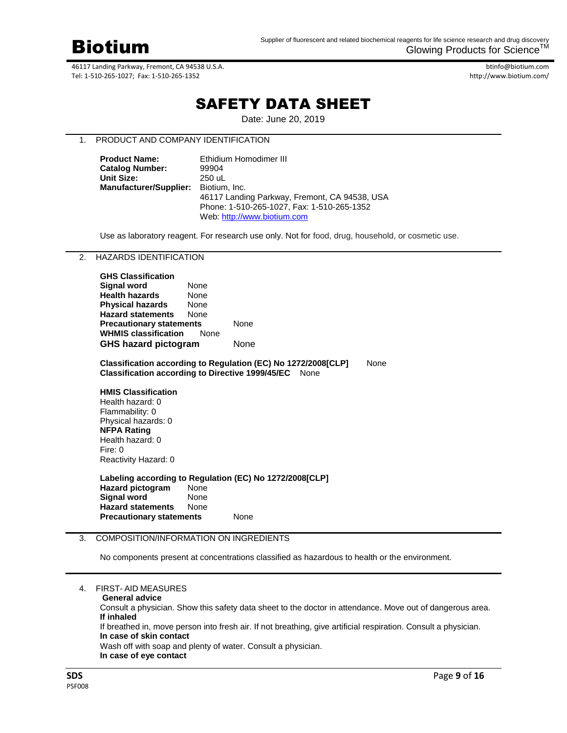

btinfo@biotium.com http://www.biotium.com/

# SAFETY DATA SHEET

Date: June 20, 2019

# 1. PRODUCT AND COMPANY IDENTIFICATION

| <b>Product Name:</b>          | Ethidium Homodimer III                        |
|-------------------------------|-----------------------------------------------|
| <b>Catalog Number:</b>        | 99904                                         |
| <b>Unit Size:</b>             | 250 uL                                        |
| <b>Manufacturer/Supplier:</b> | Biotium, Inc.                                 |
|                               | 46117 Landing Parkway, Fremont, CA 94538, USA |
|                               | Phone: 1-510-265-1027, Fax: 1-510-265-1352    |
|                               | Web: http://www.biotium.com                   |

Use as laboratory reagent. For research use only. Not for food, drug, household, or cosmetic use.

2. HAZARDS IDENTIFICATION

| None                            |                             |
|---------------------------------|-----------------------------|
| None                            |                             |
| None                            |                             |
| None                            |                             |
| <b>Precautionary statements</b> |                             |
| None                            |                             |
| <b>GHS hazard pictogram</b>     |                             |
|                                 | <b>WHMIS classification</b> |

**Classification according to Regulation (EC) No 1272/2008[CLP]** None **Classification according to Directive 1999/45/EC** None

**HMIS Classification** Health hazard: 0 Flammability: 0 Physical hazards: 0 **NFPA Rating** Health hazard: 0 Fire: 0 Reactivity Hazard: 0

**Labeling according to Regulation (EC) No 1272/2008[CLP] Hazard pictogram** None **Signal word**  None **Hazard statements** None **Precautionary statements** None

# 3. COMPOSITION/INFORMATION ON INGREDIENTS

No components present at concentrations classified as hazardous to health or the environment.

|  | <b>FIRST-AID MEASURES</b> |  |
|--|---------------------------|--|
|  |                           |  |

| <b>General advice</b> |
|-----------------------|
|-----------------------|

Consult a physician. Show this safety data sheet to the doctor in attendance. Move out of dangerous area. **If inhaled**

If breathed in, move person into fresh air. If not breathing, give artificial respiration. Consult a physician. **In case of skin contact**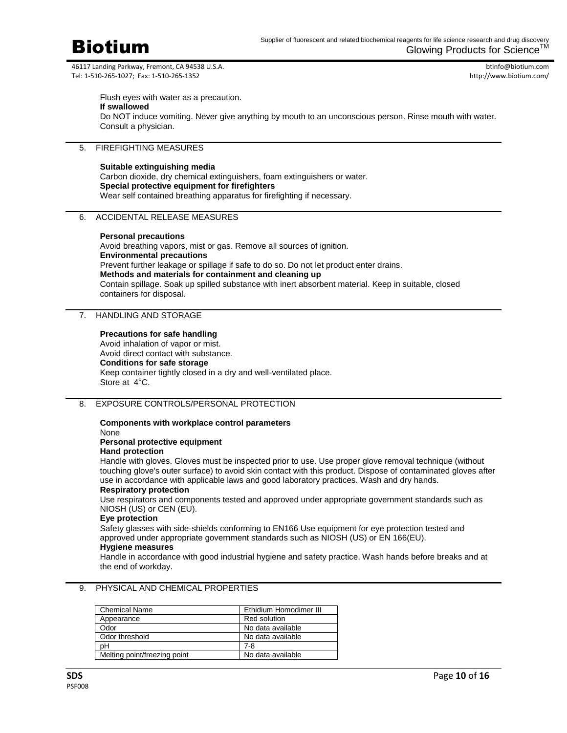

btinfo@biotium.com http://www.biotium.com/

Flush eyes with water as a precaution. **If swallowed** Do NOT induce vomiting. Never give anything by mouth to an unconscious person. Rinse mouth with water. Consult a physician.

# 5. FIREFIGHTING MEASURES

#### **Suitable extinguishing media**

Carbon dioxide, dry chemical extinguishers, foam extinguishers or water. **Special protective equipment for firefighters** Wear self contained breathing apparatus for firefighting if necessary.

## 6. ACCIDENTAL RELEASE MEASURES

#### **Personal precautions**

Avoid breathing vapors, mist or gas. Remove all sources of ignition. **Environmental precautions** Prevent further leakage or spillage if safe to do so. Do not let product enter drains. **Methods and materials for containment and cleaning up** Contain spillage. Soak up spilled substance with inert absorbent material. Keep in suitable, closed containers for disposal.

# 7. HANDLING AND STORAGE

### **Precautions for safe handling**

Avoid inhalation of vapor or mist. Avoid direct contact with substance. **Conditions for safe storage** Keep container tightly closed in a dry and well-ventilated place. Store at 4°C.

### 8. EXPOSURE CONTROLS/PERSONAL PROTECTION

#### **Components with workplace control parameters** None

**Personal protective equipment**

## **Hand protection**

Handle with gloves. Gloves must be inspected prior to use. Use proper glove removal technique (without touching glove's outer surface) to avoid skin contact with this product. Dispose of contaminated gloves after use in accordance with applicable laws and good laboratory practices. Wash and dry hands.

# **Respiratory protection**

Use respirators and components tested and approved under appropriate government standards such as NIOSH (US) or CEN (EU).

#### **Eye protection**

Safety glasses with side-shields conforming to EN166 Use equipment for eye protection tested and approved under appropriate government standards such as NIOSH (US) or EN 166(EU).

#### **Hygiene measures**

Handle in accordance with good industrial hygiene and safety practice. Wash hands before breaks and at the end of workday.

| <b>Chemical Name</b>         | Ethidium Homodimer III |
|------------------------------|------------------------|
| Appearance                   | Red solution           |
| Odor                         | No data available      |
| Odor threshold               | No data available      |
| pН                           | 7-8                    |
| Melting point/freezing point | No data available      |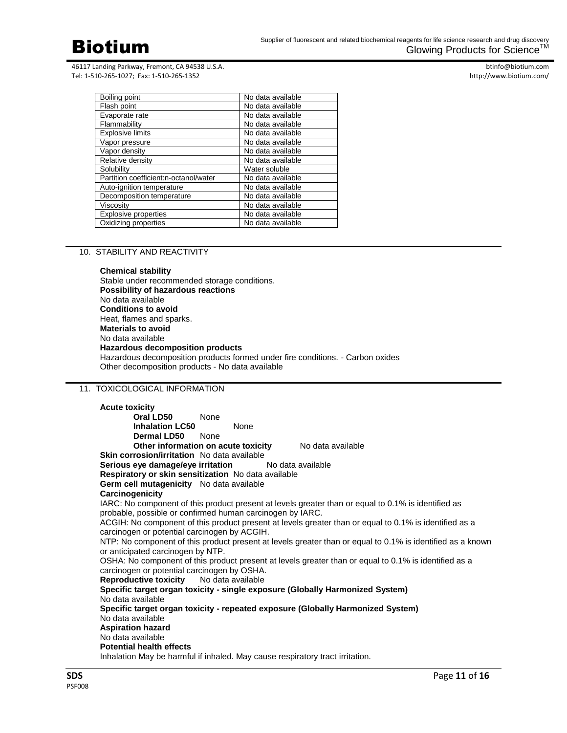

btinfo@biotium.com http://www.biotium.com/

| No data available |
|-------------------|
| No data available |
| No data available |
| No data available |
| No data available |
| No data available |
| No data available |
| No data available |
| Water soluble     |
| No data available |
| No data available |
| No data available |
| No data available |
| No data available |
| No data available |
|                   |

## 10. STABILITY AND REACTIVITY

**Chemical stability** Stable under recommended storage conditions. **Possibility of hazardous reactions** No data available **Conditions to avoid** Heat, flames and sparks. **Materials to avoid** No data available **Hazardous decomposition products** Hazardous decomposition products formed under fire conditions. - Carbon oxides Other decomposition products - No data available

# 11. TOXICOLOGICAL INFORMATION

**Acute toxicity Oral LD50** None **Inhalation LC50** None **Dermal LD50** None **Other information on acute toxicity** No data available **Skin corrosion/irritation** No data available **Serious eye damage/eye irritation** No data available **Respiratory or skin sensitization** No data available **Germ cell mutagenicity** No data available **Carcinogenicity** IARC: No component of this product present at levels greater than or equal to 0.1% is identified as probable, possible or confirmed human carcinogen by IARC. ACGIH: No component of this product present at levels greater than or equal to 0.1% is identified as a carcinogen or potential carcinogen by ACGIH. NTP: No component of this product present at levels greater than or equal to 0.1% is identified as a known or anticipated carcinogen by NTP. OSHA: No component of this product present at levels greater than or equal to 0.1% is identified as a carcinogen or potential carcinogen by OSHA.<br>**Reproductive toxicity** No data available **Reproductive toxicity Specific target organ toxicity - single exposure (Globally Harmonized System)** No data available **Specific target organ toxicity - repeated exposure (Globally Harmonized System)** No data available **Aspiration hazard** No data available **Potential health effects** Inhalation May be harmful if inhaled. May cause respiratory tract irritation.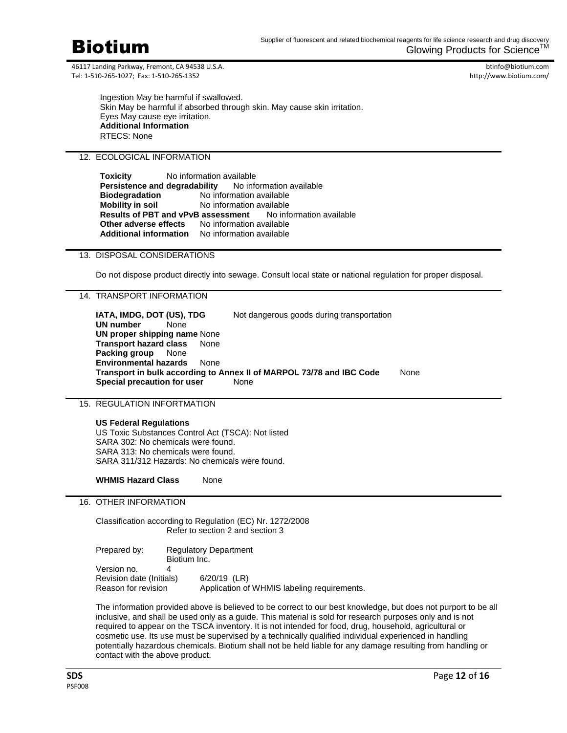

btinfo@biotium.com http://www.biotium.com/

Ingestion May be harmful if swallowed. Skin May be harmful if absorbed through skin. May cause skin irritation. Eyes May cause eye irritation. **Additional Information** RTECS: None

# 12. ECOLOGICAL INFORMATION

**Toxicity** No information available **Persistence and degradability** No information available **Biodegradation** No information available **Mobility in soil** No information available **Results of PBT and vPvB assessment** No information available **Other adverse effects** No information available **Additional information** No information available

# 13. DISPOSAL CONSIDERATIONS

Do not dispose product directly into sewage. Consult local state or national regulation for proper disposal.

# 14. TRANSPORT INFORMATION

**IATA, IMDG, DOT (US), TDG** Not dangerous goods during transportation **UN number** None **UN proper shipping name** None **Transport hazard class** None **Packing group** None **Environmental hazards** None **Transport in bulk according to Annex II of MARPOL 73/78 and IBC Code** None **Special precaution for user** None

## 15. REGULATION INFORTMATION

**US Federal Regulations** US Toxic Substances Control Act (TSCA): Not listed SARA 302: No chemicals were found. SARA 313: No chemicals were found. SARA 311/312 Hazards: No chemicals were found.

**WHMIS Hazard Class** None

# 16. OTHER INFORMATION

Classification according to Regulation (EC) Nr. 1272/2008 Refer to section 2 and section 3

Prepared by: Regulatory Department Biotium Inc. Version no. 4 Revision date (Initials) 6/20/19 (LR) Reason for revision Application of WHMIS labeling requirements.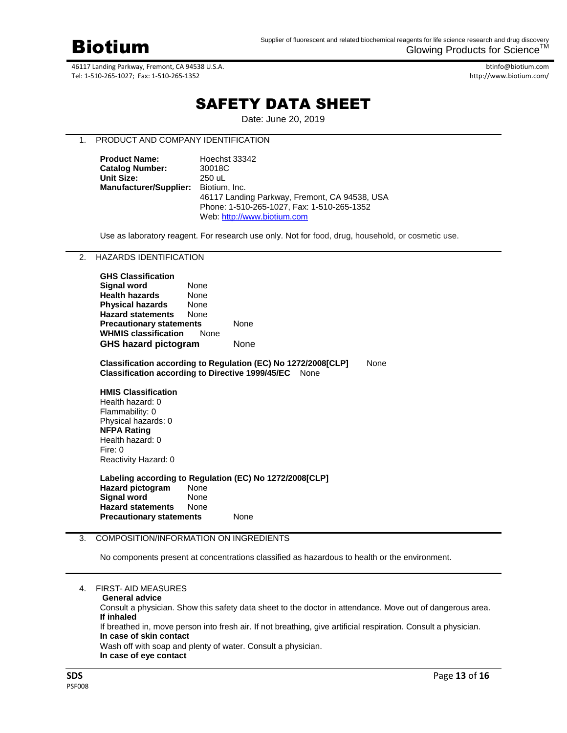

btinfo@biotium.com http://www.biotium.com/

# SAFETY DATA SHEET

Date: June 20, 2019

# 1. PRODUCT AND COMPANY IDENTIFICATION

| <b>Product Name:</b>          | Hoechst 33342                                 |
|-------------------------------|-----------------------------------------------|
| <b>Catalog Number:</b>        | 30018C                                        |
| <b>Unit Size:</b>             | 250 uL                                        |
| <b>Manufacturer/Supplier:</b> | Biotium. Inc.                                 |
|                               | 46117 Landing Parkway, Fremont, CA 94538, USA |
|                               | Phone: 1-510-265-1027, Fax: 1-510-265-1352    |
|                               | Web: http://www.biotium.com                   |

Use as laboratory reagent. For research use only. Not for food, drug, household, or cosmetic use.

# 2. HAZARDS IDENTIFICATION

| <b>GHS Classification</b>       |             |      |
|---------------------------------|-------------|------|
| Signal word                     | None        |      |
| <b>Health hazards</b>           | None        |      |
| <b>Physical hazards</b>         | None        |      |
| <b>Hazard statements</b>        | None        |      |
| <b>Precautionary statements</b> |             | None |
| <b>WHMIS classification</b>     | <b>None</b> |      |
| <b>GHS hazard pictogram</b>     |             | None |

**Classification according to Regulation (EC) No 1272/2008[CLP]** None **Classification according to Directive 1999/45/EC** None

**HMIS Classification** Health hazard: 0 Flammability: 0 Physical hazards: 0 **NFPA Rating** Health hazard: 0 Fire: 0 Reactivity Hazard: 0

**Labeling according to Regulation (EC) No 1272/2008[CLP] Hazard pictogram** None **Signal word**  None **Hazard statements** None **Precautionary statements** None

## 3. COMPOSITION/INFORMATION ON INGREDIENTS

No components present at concentrations classified as hazardous to health or the environment.

|  | <b>FIRST-AID MEASURES</b> |  |
|--|---------------------------|--|
|--|---------------------------|--|

Consult a physician. Show this safety data sheet to the doctor in attendance. Move out of dangerous area. **If inhaled**

If breathed in, move person into fresh air. If not breathing, give artificial respiration. Consult a physician. **In case of skin contact**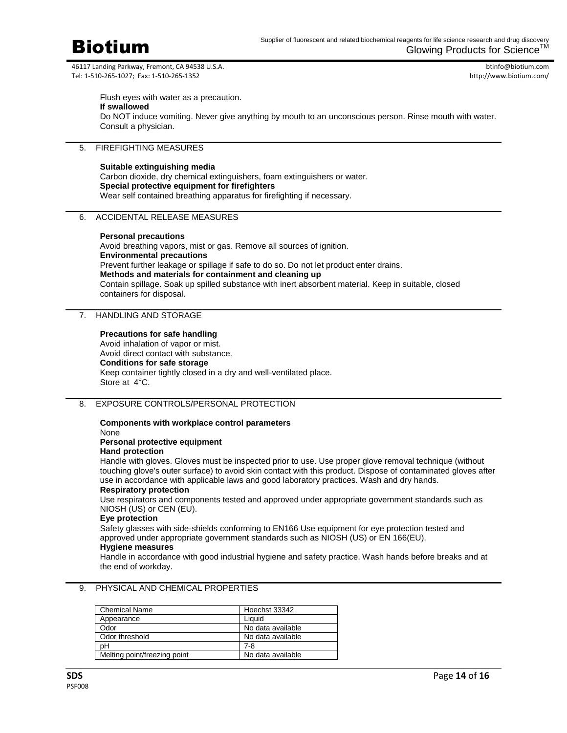

btinfo@biotium.com http://www.biotium.com/

Flush eyes with water as a precaution. **If swallowed** Do NOT induce vomiting. Never give anything by mouth to an unconscious person. Rinse mouth with water. Consult a physician.

# 5. FIREFIGHTING MEASURES

#### **Suitable extinguishing media**

Carbon dioxide, dry chemical extinguishers, foam extinguishers or water. **Special protective equipment for firefighters** Wear self contained breathing apparatus for firefighting if necessary.

## 6. ACCIDENTAL RELEASE MEASURES

#### **Personal precautions**

Avoid breathing vapors, mist or gas. Remove all sources of ignition. **Environmental precautions** Prevent further leakage or spillage if safe to do so. Do not let product enter drains. **Methods and materials for containment and cleaning up** Contain spillage. Soak up spilled substance with inert absorbent material. Keep in suitable, closed containers for disposal.

# 7. HANDLING AND STORAGE

#### **Precautions for safe handling**

Avoid inhalation of vapor or mist. Avoid direct contact with substance. **Conditions for safe storage** Keep container tightly closed in a dry and well-ventilated place. Store at 4°C.

### 8. EXPOSURE CONTROLS/PERSONAL PROTECTION

#### **Components with workplace control parameters** None

**Personal protective equipment**

## **Hand protection**

Handle with gloves. Gloves must be inspected prior to use. Use proper glove removal technique (without touching glove's outer surface) to avoid skin contact with this product. Dispose of contaminated gloves after use in accordance with applicable laws and good laboratory practices. Wash and dry hands.

# **Respiratory protection**

Use respirators and components tested and approved under appropriate government standards such as NIOSH (US) or CEN (EU).

# **Eye protection**

Safety glasses with side-shields conforming to EN166 Use equipment for eye protection tested and approved under appropriate government standards such as NIOSH (US) or EN 166(EU).

#### **Hygiene measures**

Handle in accordance with good industrial hygiene and safety practice. Wash hands before breaks and at the end of workday.

| <b>Chemical Name</b>         | Hoechst 33342     |
|------------------------------|-------------------|
| Appearance                   | Liauid            |
| Odor                         | No data available |
| Odor threshold               | No data available |
| pН                           | 7-8               |
| Melting point/freezing point | No data available |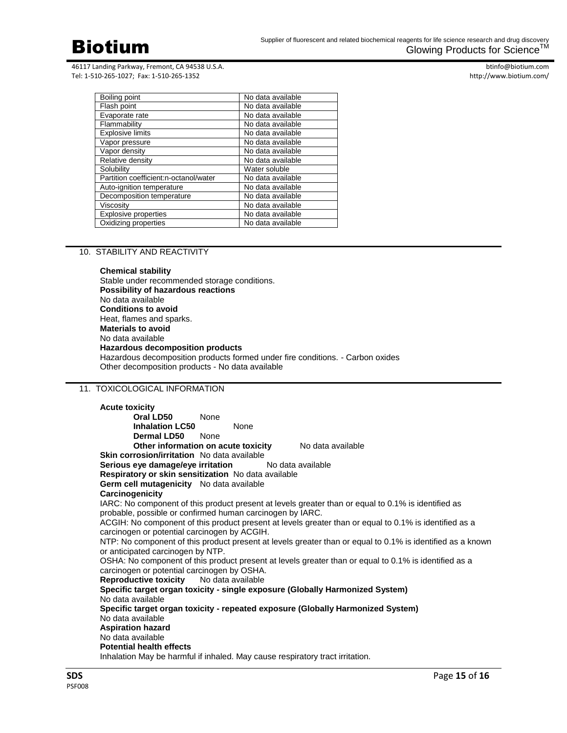

btinfo@biotium.com http://www.biotium.com/

| No data available |
|-------------------|
| No data available |
| No data available |
| No data available |
| No data available |
| No data available |
| No data available |
| No data available |
| Water soluble     |
| No data available |
| No data available |
| No data available |
| No data available |
| No data available |
| No data available |
|                   |

## 10. STABILITY AND REACTIVITY

**Chemical stability** Stable under recommended storage conditions. **Possibility of hazardous reactions** No data available **Conditions to avoid** Heat, flames and sparks. **Materials to avoid** No data available **Hazardous decomposition products** Hazardous decomposition products formed under fire conditions. - Carbon oxides Other decomposition products - No data available

# 11. TOXICOLOGICAL INFORMATION

**Acute toxicity Oral LD50** None **Inhalation LC50** None **Dermal LD50** None **Other information on acute toxicity** No data available **Skin corrosion/irritation** No data available **Serious eye damage/eye irritation** No data available **Respiratory or skin sensitization** No data available **Germ cell mutagenicity** No data available **Carcinogenicity** IARC: No component of this product present at levels greater than or equal to 0.1% is identified as probable, possible or confirmed human carcinogen by IARC. ACGIH: No component of this product present at levels greater than or equal to 0.1% is identified as a carcinogen or potential carcinogen by ACGIH. NTP: No component of this product present at levels greater than or equal to 0.1% is identified as a known or anticipated carcinogen by NTP. OSHA: No component of this product present at levels greater than or equal to 0.1% is identified as a carcinogen or potential carcinogen by OSHA.<br>**Reproductive toxicity** No data available **Reproductive toxicity Specific target organ toxicity - single exposure (Globally Harmonized System)** No data available **Specific target organ toxicity - repeated exposure (Globally Harmonized System)** No data available **Aspiration hazard** No data available **Potential health effects** Inhalation May be harmful if inhaled. May cause respiratory tract irritation.